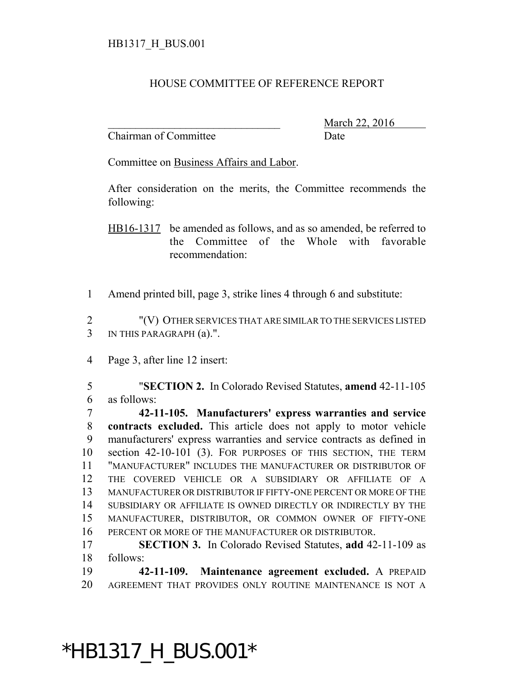## HOUSE COMMITTEE OF REFERENCE REPORT

Chairman of Committee Date

March 22, 2016

Committee on Business Affairs and Labor.

After consideration on the merits, the Committee recommends the following:

HB16-1317 be amended as follows, and as so amended, be referred to the Committee of the Whole with favorable recommendation:

Amend printed bill, page 3, strike lines 4 through 6 and substitute:

 "(V) OTHER SERVICES THAT ARE SIMILAR TO THE SERVICES LISTED IN THIS PARAGRAPH (a).".

Page 3, after line 12 insert:

 "**SECTION 2.** In Colorado Revised Statutes, **amend** 42-11-105 as follows:

 **42-11-105. Manufacturers' express warranties and service contracts excluded.** This article does not apply to motor vehicle manufacturers' express warranties and service contracts as defined in section 42-10-101 (3). FOR PURPOSES OF THIS SECTION, THE TERM "MANUFACTURER" INCLUDES THE MANUFACTURER OR DISTRIBUTOR OF THE COVERED VEHICLE OR A SUBSIDIARY OR AFFILIATE OF A MANUFACTURER OR DISTRIBUTOR IF FIFTY-ONE PERCENT OR MORE OF THE SUBSIDIARY OR AFFILIATE IS OWNED DIRECTLY OR INDIRECTLY BY THE MANUFACTURER, DISTRIBUTOR, OR COMMON OWNER OF FIFTY-ONE PERCENT OR MORE OF THE MANUFACTURER OR DISTRIBUTOR.

 **SECTION 3.** In Colorado Revised Statutes, **add** 42-11-109 as follows:

 **42-11-109. Maintenance agreement excluded.** A PREPAID AGREEMENT THAT PROVIDES ONLY ROUTINE MAINTENANCE IS NOT A

## \*HB1317\_H\_BUS.001\*